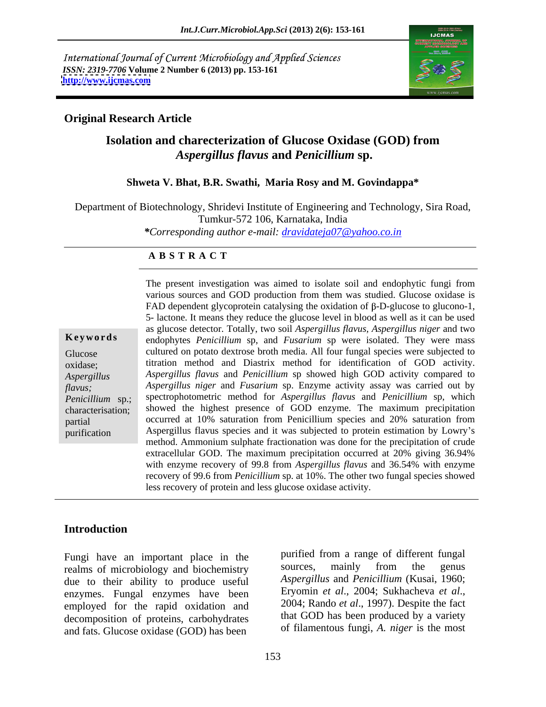International Journal of Current Microbiology and Applied Sciences *ISSN: 2319-7706* **Volume 2 Number 6 (2013) pp. 153-161 <http://www.ijcmas.com>**



#### **Original Research Article**

### **Isolation and charecterization of Glucose Oxidase (GOD) from** *Aspergillus flavus* **and** *Penicillium* **sp.**

#### **Shweta V. Bhat, B.R. Swathi, Maria Rosy and M. Govindappa\***

Department of Biotechnology, Shridevi Institute of Engineering and Technology, Sira Road, Tumkur-572 106, Karnataka, India

*\*Corresponding author e-mail: dravidateja07@yahoo.co.in*

#### **A B S T R A C T**

**Keywords** endophytes *Penicillium* sp, and *Fusarium* sp were isolated. They were mass Glucose cultured on potato dextrose broth media. All four fungal species were subjected to oxidase; titration method and Diastrix method for identification of GOD activity. *Aspergillus Aspergillus flavus* and *Penicillium* sp showed high GOD activity compared to *flavus; Aspergillus niger* and *Fusarium* sp. Enzyme activity assay was carried out by *Penicillium* sp.; spectrophotometric method for *Aspergillus flavus* and *Penicillium* sp, which characterisation; showed the highest presence of GOD enzyme. The maximum precipitation partial occurred at 10% saturation from Penicillium species and 20% saturation from purification Aspergillus flavus species and it was subjected to protein estimation by Lowry's The present investigation was aimed to isolate soil and endophytic fungi from<br>various sources and GOD production from them was studied. Glucose oxidase is<br>FAD dependent glycoprotein catalysing the oxidation of β-D-glucose various sources and GOD production from them was studied. Glucose oxidase is FAD dependent glycoprotein catalysing the oxidation of  $\beta$ -D-glucose to glucono-1, 5- lactone. It means they reduce the glucose level in blood as well as it can be used as glucose detector. Totally, two soil *Aspergillus flavus, Aspergillus niger* and two method. Ammonium sulphate fractionation was done for the precipitation of crude extracellular GOD. The maximum precipitation occurred at 20% giving 36.94% with enzyme recovery of 99.8 from *Aspergillus flavus* and 36.54% with enzyme recovery of 99.6 from *Penicillium* sp. at 10%. The other two fungal species showed less recovery of protein and less glucose oxidase activity.

#### **Introduction**

Fungi have an important place in the purified from a range of different fungal<br>realms of microbiology and biochemistry sources, mainly from the genus realms of microbiology and biochemistry due to their ability to produce useful *Aspergillus* and *Penicillium* (Kusai, 1960;<br>enzymes Eungal enzymes have been Eryomin *et al.*, 2004; Sukhacheva *et al.*, enzymes. Fungal enzymes have been Eryomin et al., 2004; Sukhacheva et al., employed for the rapid oxidation and 2004; Rando et al., 1997). Despite the fact employed for the rapid oxidation and decomposition of proteins, carbohydrates and fats. Glucose oxidase (GOD) has been

purified from a range of different fungal sources, mainly from the genus *Aspergillus* and *Penicillium* (Kusai, 1960; Eryomin *et al*., 2004; Sukhacheva *et al*., 2004; Rando *et al*., 1997). Despite the fact that GOD has been produced by a variety of filamentous fungi, *A. niger* is the most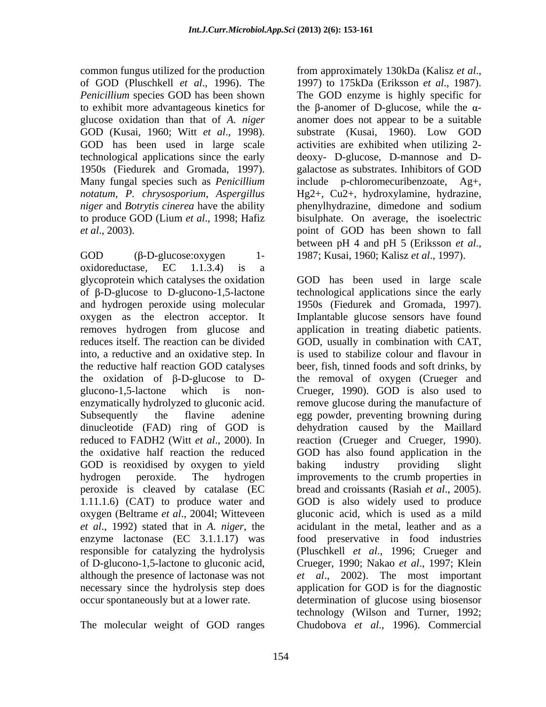common fungus utilized for the production from approximately 130kDa (Kalisz et al., of GOD (Pluschkell *et al*., 1996). The

GOD (β-D-glucose: oxygen 1- 1987; Kusai, 1960; Kalisz *et al.*, 1997). oxidoreductase, EC 1.1.3.4) is a and hydrogen peroxide using molecular GOD is reoxidised by oxygen to yield baking industry providing slight peroxide is cleaved by catalase (EC

The molecular weight of GOD ranges Chudobova *et al*., 1996). Commercial

*Penicillium* species GOD has been shown The GOD enzyme is highly specific for to exhibit more advantageous kinetics for the  $\beta$ -anomer of D-glucose, while the  $\alpha$ glucose oxidation than that of *A. niger* anomer does not appear to be a suitable GOD (Kusai, 1960; Witt *et al.*, 1998). Substrate (Kusai, 1960). Low GOD has been used in large scale activities are exhibited when utilizing 2technological applications since the early deoxy- D-glucose, D-mannose and D- 1950s (Fiedurek and Gromada, 1997). galactose as substrates. Inhibitors of GOD Many fungal species such as *Penicillium*  include p-chloromecuribenzoate, Ag+, *notatum*, *P. chrysosporium*, *Aspergillus*  Hg2+, Cu2+, hydroxylamine, hydrazine, *niger* and *Botrytis cinerea* have the ability phenylhydrazine, dimedone and sodium to produce GOD (Lium *et al*., 1998; Hafiz bisulphate. On average, the isoelectric *et al*., 2003). point of GOD has been shown to fall from approximately 130kDa (Kalisz *et al*., 1997) to 175kDa (Eriksson *et al*., 1987). substrate (Kusai, 1960). Low GOD activities are exhibited when utilizing 2 between pH <sup>4</sup> and pH <sup>5</sup> (Eriksson *et al*., 1987; Kusai, 1960; Kalisz *et al*., 1997).

glycoprotein which catalyses the oxidation GOD has been used in large scale of  $\beta$ -D-glucose to D-glucono-1,5-lactone technological applications since the early oxygen as the electron acceptor. It Implantable glucose sensors have found removes hydrogen from glucose and application in treating diabetic patients. reduces itself. The reaction can be divided GOD, usually in combination with CAT, into, a reductive and an oxidative step. In is used to stabilize colour and flavour in the reductive half reaction GOD catalyses beer, fish, tinned foodsand soft drinks, by the oxidation of  $\beta$ -D-glucose to D- the removal of oxygen (Crueger and glucono-1,5-lactone which is non- Crueger, 1990). GOD is also used to enzymatically hydrolyzed to gluconic acid. remove glucose during the manufacture of Subsequently the flavine adenine egg powder, preventing browning during dinucleotide (FAD) ring of GOD is dehydration caused by the Maillard reduced to FADH2 (Witt *et al*., 2000). In reaction (Crueger and Crueger, 1990). the oxidative half reaction the reduced GOD has also found application in the hydrogen peroxide. The hydrogen improvements to the crumb properties in 1.11.1.6) (CAT) to produce water and GOD is also widely used to produce oxygen (Beltrame *et al*., 2004l; Witteveen gluconic acid, which is used as a mild *et al*., 1992) stated that in *A. niger*, the acidulant in the metal, leather and as a enzyme lactonase (EC 3.1.1.17) was food preservative in food industries responsible for catalyzing the hydrolysis (Pluschkell *et al*., 1996; Crueger and of D-glucono-1,5-lactone to gluconic acid, Crueger, 1990; Nakao *et al*., 1997; Klein although the presence of lactonase was not *et al*., 2002). The most important necessary since the hydrolysis step does application for GOD is for the diagnostic occur spontaneously but at a lower rate. determination of glucose using biosensor 1950s (Fiedurek and Gromada, 1997). baking industry providing slight bread and croissants (Rasiah *et al*., 2005). technology (Wilson and Turner, 1992;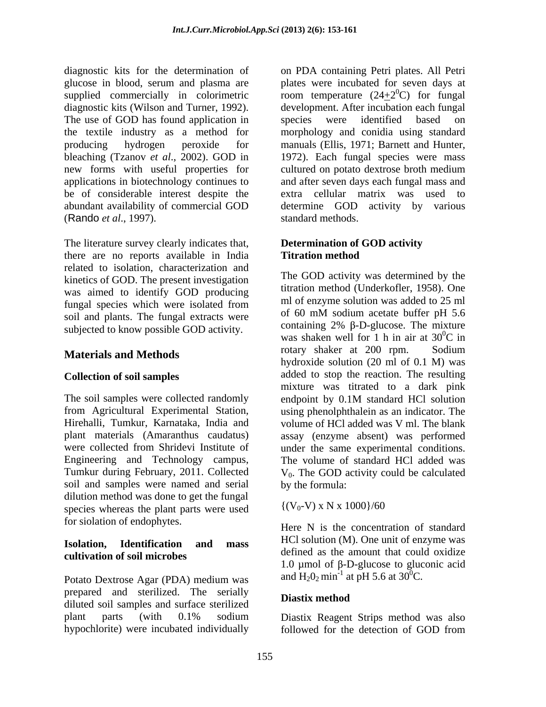diagnostic kits for the determination of on PDA containing Petri plates. All Petri glucose in blood, serum and plasma are plates were incubated for seven days at supplied commercially in colorimetric diagnostic kits (Wilson and Turner, 1992). development. After incubation each fungal The use of GOD has found application in species were identified based on the textile industry as a method for morphology and conidia using standard producing hydrogen peroxide for manuals (Ellis, 1971; Barnett and Hunter, bleaching (Tzanov *et al.*, 2002). GOD in new forms with useful properties for cultured on potato dextrose broth medium applications in biotechnology continues to be of considerable interest despite the abundant availability of commercial GOD determine GOD activity by various (Rando *et al*., 1997).

The literature survey clearly indicates that, there are no reports available in India related to isolation, characterization and kinetics of GOD. The present investigation was aimed to identify GOD producing fungal species which were isolated from  $\frac{m}{\text{I}}$  of enzyme solution was added to 25 ml<br>coil and plants. The funcal outrasts were of 60 mM sodium acetate buffer pH 5.6 soil and plants. The fungal extracts were subjected to know possible GOD activity.

The soil samples were collected randomly endpoint by 0.1M standard HCl solution soil and samples were named and serial dilution method was done to get the fungal<br>species whereas the plant parts were used  $\{(V_0-V) \times N \times 1000\}/60$ species whereas the plant parts were used for siolation of endophytes.

## **cultivation of soil microbes**

Potato Dextrose Agar (PDA) medium was  $\qquad$  and H<sub>2</sub>O<sub>2</sub> min at pH 5.6 at 3O<sup>-</sup>C. prepared and sterilized. The serially **Diastix method** diluted soil samples and surface sterilized plant parts (with 0.1% sodium Diastix Reagent Strips method was also hypochlorite) were incubated individually followed for the detection of GOD from

room temperature  $(24+2<sup>0</sup>C)$  for fungal  ${}^{0}C$ ) for fungal species were identified based on 1972). Each fungal species were mass cultured on potato dextrose broth medium and after seven days each fungal mass and extra cellular matrix was used to standard methods.

#### **Determination of GOD activity Titration method**

**Materials and Methods** rotary shaker at 200 rpm. Sodium **Collection of soil samples** added to stop the reaction. The resulting from Agricultural Experimental Station, using phenolphthalein as an indicator. The Hirehalli, Tumkur, Karnataka, India and volume of HCl added was V ml. The blank plant materials (Amaranthus caudatus) assay (enzyme absent) was performed were collected from Shridevi Institute of under the same experimental conditions. Engineering and Technology campus, The volume of standard HCl added was Tumkur during February, 2011. Collected  $V_0$ . The GOD activity could be calculated The GOD activity was determined by the titration method (Underkofler, 1958). One ml of enzyme solution was added to 25 ml of 60 mM sodium acetate buffer pH 5.6 containing  $2\%$   $\beta$ -D-glucose. The mixture was shaken well for 1 h in air at  $30^{\circ}$ C in  ${}^{0}C$  in rotary shaker at 200 rpm. Sodium hydroxide solution (20 ml of 0.1 M) was mixture was titrated to a dark pink endpoint by 0.1M standard HCl solution by the formula:

 $\{(V_0-V) \times N \times 1000\}/60$ 

**Isolation, Identification and mass** Here N is the concentration of standard HCl solution (M). One unit of enzyme was defined as the amount that could oxidize 1.0 µmol of  $\beta$ -D-glucose to gluconic acid and  $H_2O_2$  min<sup>-1</sup> at pH 5.6 at 30<sup>0</sup>C.

#### **Diastix method**

followed for the detection of GOD from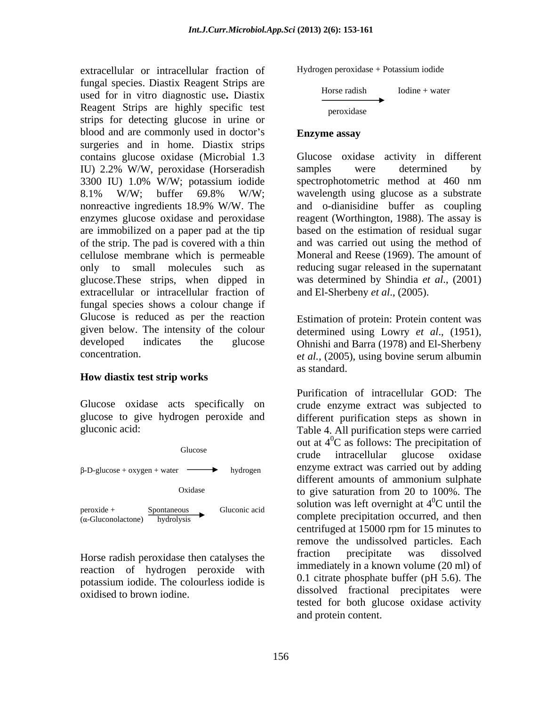extracellular or intracellular fraction of fungal species. Diastix Reagent Strips are used for in vitro diagnostic use**.** Diastix Reagent Strips are highly specific test strips for detecting glucose in urine or blood and are commonly used in doctor's **Enzyme assay** surgeries and in home. Diastix strips contains glucose oxidase (Microbial 1.3 IU) 2.2% W/W, peroxidase (Horseradish 3300 IU) 1.0% W/W; potassium iodide 8.1% W/W; buffer 69.8% W/W; wavelength using glucose as a substrate nonreactive ingredients 18.9% W/W. The and o-dianisidine buffer as coupling enzymes glucose oxidase and peroxidase reagent (Worthington, 1988). The assay is are immobilized on a paper pad at the tip based on the estimation of residual sugar of the strip. The pad is covered with a thin cellulose membrane which is permeable Moneral and Reese (1969). The amount of only to small molecules such as reducing sugar released in the supernatant glucose.These strips, when dipped in extracellular or intracellular fraction of fungal species shows a colour change if Glucose is reduced as per the reaction given below. The intensity of the colour determined using Lowry *et al*., (1951), developed indicates the glucose Ohnishi and Barra (1978) and El-Sherbeny

## **How diastix test strip works**



reaction of hydrogen peroxide with potassium iodide. The colourless iodide is

Hydrogen peroxidase + Potassium iodide

$$
Horse \text{ radish}
$$
 Iodine + water  
peroxidase

#### **Enzyme assay**

Glucose oxidase activity in different samples were determined by spectrophotometric method at 460 nm wavelength using glucose as a substrate and was carried out using the method of was determined by Shindia *et al*., (2001) and El-Sherbeny *et al*., (2005).

et *al.*, (2005), using bovine serum albumin et *al.*, (2005), using bovine serum albumin Estimation of protein: Protein content was as standard.

Glucose oxidase acts specifically on crude enzyme extract was subjected to glucose to give hydrogen peroxide and different purification steps as shown in gluconic acid: Table 4. All purification steps were carried Oxidase to give saturation from 20 to 100%. The Horse radish peroxidase then catalyses the fraction precipitate was dissolved oxidised to brown iodine. dissolved fractional precipitates were Purification of intracellular GOD: The out at  $4^0C$  as follows: The precipitation of  ${}^{0}C$  as follows: The precipitation of crude intracellular glucose oxidase enzyme extract was carried out by adding different amounts of ammonium sulphate to give saturation from 20 to 100%. The solution was left overnight at  $4^{\circ}$ C until the  ${}^{0}C$  until the centrifuged at 15000 rpm for 15 minutes to remove the undissolved particles. Each fraction precipitate was dissolved immediately in a known volume (20 ml) of 0.1 citrate phosphate buffer (pH 5.6). The tested for both glucose oxidase activity and protein content.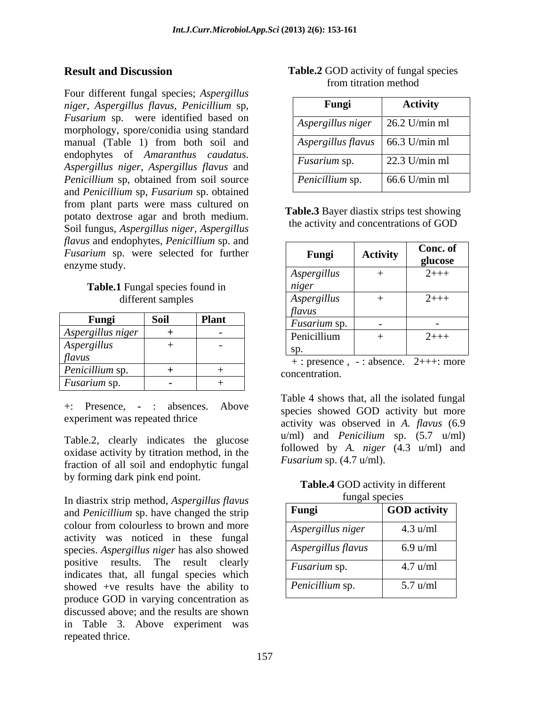Four different fungal species; *Aspergillus niger, Aspergillus flavus, Penicillium* sp, *Fusarium* sp. were identified based on morphology, spore/conidia using standard manual (Table 1) from both soil and endophytes of *Amaranthus caudatus*. *Aspergillus niger, Aspergillus flavus* and *Penicillium* sp, obtained from soil source and *Penicillium* sp, *Fusarium* sp. obtained from plant parts were mass cultured on potato dextrose agar and broth medium.<br>
Soil finance American American American American Soil finance American American American Solutions of GOD Soil fungus, *Aspergillus niger, Aspergillus flavus* and endophytes, *Penicillium* sp. and *Fusarium* sp. were selected for further enzyme study. **Result and Discussion** of Table.2 Consisting of Fungal species<br>
From different Agree ( $A_{\text{ppo}}$ ,  $A_{\text{ppo}}$ ,  $A_{\text{ppo}}$ ,  $A_{\text{ppo}}$ ,  $A_{\text{ppo}}$ ,  $A_{\text{ppo}}$ ,  $A_{\text{ppo}}$ ,  $A_{\text{ppo}}$ ,  $A_{\text{ppo}}$ ,  $A_{\text{ppo}}$ ,  $A_{\text{ppo}}$ ,  $A$ 

# **Table.1** Fungal species found in

|                                     |                                          |       | $\mu$ uvus                |               |
|-------------------------------------|------------------------------------------|-------|---------------------------|---------------|
| Fungi                               | $\mathbf{c}_{\mathbf{a}}$<br><b>DUIT</b> | Plant | <i>Fusarium</i> sp.       |               |
| Aspergillus niger                   |                                          |       |                           |               |
|                                     |                                          |       | Penicillium               | $2$ +++       |
| Aspergillus                         |                                          |       |                           |               |
| flavus                              |                                          |       | : absence.<br>: presence, | $2$ +++: more |
| Penicillium sp.                     |                                          |       | concentration.            |               |
| $\mathbf{r}$<br><i>Fusarium</i> sp. |                                          |       |                           |               |
|                                     |                                          |       |                           |               |

Table.2, clearly indicates the glucose oxidase activity by titration method, in the fraction of all soil and endophytic fungal by forming dark pink end point.

In diastrix strip method, *Aspergillus flavus* and *Penicillium* sp. have changed the strip colour from colourless to brown and more  $\sqrt{4 \text{ s}{\text{n}}$   $\sqrt{q}}$   $\sqrt{q}$   $\sqrt{q}}$   $\sqrt{q}$ activity was noticed in these fungal species. *Aspergillus niger* has also showed positive results. The result clearly indicates that, all fungal species which showed +ve results have the ability to produce GOD in varying concentration as discussed above; and the results are shown in Table 3. Above experiment was

| <b>Result and Discussion</b> | $\sim$ $\sim$ $\sim$ $\sim$<br><b>Table.2</b> GOD activity of fungal species |  |
|------------------------------|------------------------------------------------------------------------------|--|
|                              | i titration metho                                                            |  |

| Fungi                                            | <b>Activity</b>       |
|--------------------------------------------------|-----------------------|
| $\vert$ Aspergillus niger $\vert$ 26.2 U/min ml  |                       |
| $\vert$ Aspergillus flavus $\vert$ 66.3 U/min ml |                       |
| <i>Fusarium</i> sp.                              | $\vert$ 22.3 U/min ml |
| Penicillium sp.                                  | $66.6$ U/min ml       |

**Table.3** Bayer diastix strips test showing the activity and concentrations of GOD

| <i>flavus</i> and endophytes, <i>Peniculium</i> sp. and<br>Fusarium sp. were selected for further<br>enzyme study. | Fungi               | <b>Activity</b> | Conc. of<br>glucose |
|--------------------------------------------------------------------------------------------------------------------|---------------------|-----------------|---------------------|
|                                                                                                                    | Aspergillus         |                 | $2$ +++             |
| Table.1 Fungal species found in                                                                                    | niger               |                 |                     |
| different samples                                                                                                  | Aspergillus         |                 | $2$ +++             |
|                                                                                                                    | <i>flavus</i>       |                 |                     |
| Soil<br><b>Plant</b><br>Fungi                                                                                      | <i>Fusarium</i> sp. |                 |                     |
| Aspergillus niger<br>$\sim$                                                                                        | Penicillium         |                 | $2$ +++             |
| <i><b>Aspergillus</b></i>                                                                                          |                     |                 |                     |
| <i>flavus</i>                                                                                                      |                     |                 |                     |

+: Presence, **-** : absences. Above experiment was repeated thrice activity was observed in *A. flavus* (6.9 concentration. Table <sup>4</sup> shows that, all the isolated fungal species showed GOD activity but more u/ml) and *Penicilium* sp. (5.7 u/ml) followed by *A. niger* (4.3 u/ml) and *Fusarium* sp. (4.7 u/ml).

**Table.4** GOD activity in different fungal species

| $\sim$ $\sim$ $\sim$ $\sim$ $\sim$ $\sim$ $\sim$<br>Fungi | <b>GOD</b> activity |
|-----------------------------------------------------------|---------------------|
| Aspergillus niger                                         | $4.3 \text{ u/ml}$  |
| Aspergillus flavus                                        | $6.9 \text{ u/ml}$  |
| <i>Fusarium</i> sp.                                       | $4.7 \text{ u/ml}$  |
| Penicillium sp.                                           | $5.7 \text{ u/ml}$  |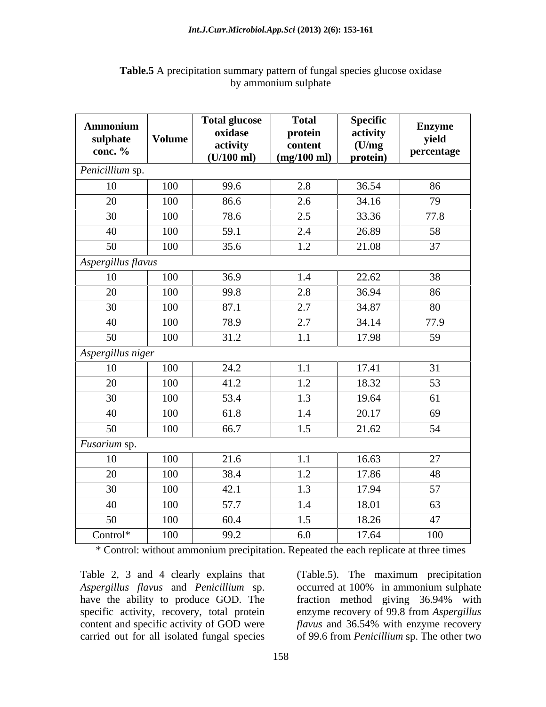| <b>Ammonium</b><br>sulphate<br>conc. $\%$ | Volume | Total glucose<br>oxidase<br>activity<br>$(U/100 \text{ ml})$ | <b>Total</b><br>protein<br>content<br>$(mg/100 \text{ ml})$ | Specific<br>activity<br>(U/mg)<br>protein) | <b>Enzyme</b><br>yield<br>percentage |
|-------------------------------------------|--------|--------------------------------------------------------------|-------------------------------------------------------------|--------------------------------------------|--------------------------------------|
| Penicillium sp.                           |        |                                                              |                                                             |                                            |                                      |
| 10                                        | 100    | 99.6                                                         | 2.8                                                         | 36.54                                      | 86                                   |
| 20                                        | 100    | 86.6                                                         | 2.6                                                         | 34.16                                      | 79                                   |
| 30                                        | 100    | 78.6                                                         | 2.5                                                         | 33.36                                      | 77.8                                 |
| 40                                        | 100    | 59.1                                                         | 2.4                                                         | 26.89                                      | 58                                   |
| 50                                        | 100    | 35.6                                                         | 1.2                                                         | 21.08                                      | 37                                   |
| Aspergillus flavus                        |        |                                                              |                                                             |                                            |                                      |
| 10                                        | 100    | 36.9                                                         | 1.4                                                         | 22.62                                      | 38                                   |
| 20                                        | 100    | 99.8                                                         | 2.8                                                         | 36.94                                      | 86                                   |
| 30                                        | 100    | 87.1                                                         | 2.7                                                         | 34.87                                      | 80                                   |
| 40                                        | 100    | 78.9                                                         | 2.7                                                         | 34.14                                      | 77.9                                 |
| 50                                        | 100    | 31.2                                                         | 1.1                                                         | 17.98                                      | 59                                   |
| Aspergillus niger                         |        |                                                              |                                                             |                                            |                                      |
| 10                                        | 100    | 24.2                                                         | 1.1                                                         | 17.41                                      | 31                                   |
| 20                                        | 100    | 41.2                                                         | 1.2                                                         | 18.32                                      | 53                                   |
| 30                                        | 100    | 53.4                                                         | 1.3                                                         | 19.64                                      | 61                                   |
| 40                                        | 100    | 61.8                                                         | 1.4                                                         | 20.17                                      | 69                                   |
| 50                                        | 100    | 66.7                                                         | 1.5                                                         | 21.62                                      | 54                                   |
| Fusarium sp.                              |        |                                                              |                                                             |                                            |                                      |
| 10                                        | 100    | 21.6                                                         | 1.1                                                         | 16.63                                      | 27                                   |
| 20                                        | 100    | 38.4                                                         | 1.2                                                         | 17.86                                      | 48                                   |
| 30                                        | 100    | 42.1                                                         | 1.3                                                         | 17.94                                      | 57                                   |
| 40                                        | 100    | 57.7                                                         | 1.4                                                         | 18.01                                      | 63                                   |
| 50                                        | 100    | 60.4                                                         | 1.5                                                         | 18.26                                      | 47                                   |
| Control*                                  | 100    | 99.2                                                         | 6.0                                                         | 17.64                                      | 100                                  |

#### **Table.5** A precipitation summary pattern of fungal species glucose oxidase by ammonium sulphate

\* Control: without ammonium precipitation. Repeated the each replicate at three times

Table 2, 3 and 4 clearly explains that (Table.5). The maximum precipitation *Aspergillus flavus* and *Penicillium* sp. have the ability to produce GOD. The fraction method giving 36.94% with specific activity, recovery, total protein enzyme recovery of 99.8 from *Aspergillus*  content and specific activity of GOD were *flavus* and 36.54% with enzyme recovery

carried out for all isolated fungal species of 99.6 from *Penicillium* sp. The other two occurred at 100% in ammonium sulphate fraction method giving 36.94% with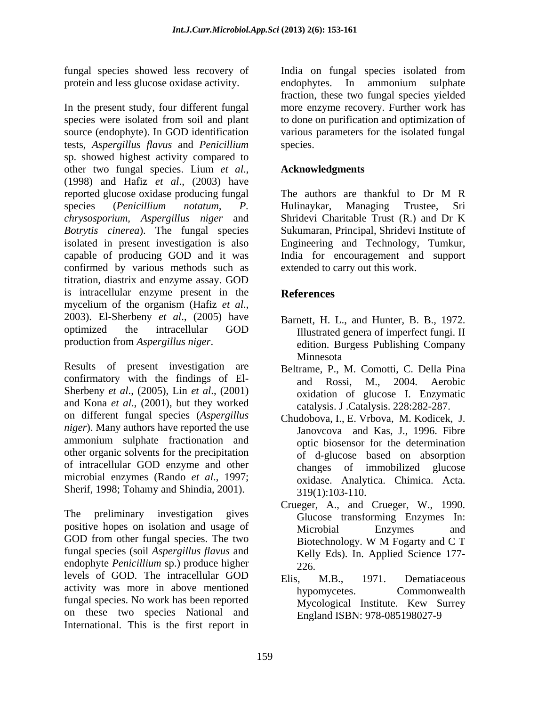protein and less glucose oxidase activity. The endophytes. In ammonium sulphate

In the present study, four different fungal more enzyme recovery. Further work has species were isolated from soil and plant to done on purification and optimization of source (endophyte). In GOD identification various parameters for the isolated fungal tests, *Aspergillus flavus* and *Penicillium* sp. showed highest activity compared to other two fungal species. Lium *et al*., (1998) and Hafiz *et al*., (2003) have reported glucose oxidase producing fungal The authors are thankful to Dr M R species (*Penicillium notatum, P. chrysosporium, Aspergillus niger* and Shridevi Charitable Trust (R.) and Dr K *Botrytis cinerea*). The fungal species isolated in present investigation is also Engineering and Technology, Tumkur, capable of producing GOD and it was India for encouragement and support confirmed by various methods such as titration, diastrix and enzyme assay. GOD is intracellular enzyme present in the References mycelium of the organism (Hafiz *et al*., 2003). El-Sherbeny *et al*., (2005) have optimized the intracellular GOD

confirmatory with the findings of El-<br>and Rossi, M., 2004. Aerobic Sherbeny *et al*., (2005), Lin *et al*., (2001) and Kona *et al*., (2001), but they worked on different fungal species (*Aspergillus niger*). Many authors have reported the use ammonium sulphate fractionation and other organic solvents for the precipitation of intracellular GOD enzyme and other microbial enzymes (Rando *et al*., 1997; Sherif, 1998; Tohamy and Shindia, 2001).

The preliminary investigation gives Glucose transforming Enzymes In: positive hopes on isolation and usage of Microbial Enzymes and GOD from other fungal species. The two<br>Biotechnology. W M Fogarty and C T fungal species (soil *Aspergillus flavus* and endophyte *Penicillium* sp.) produce higher 226. levels of GOD. The intracellular GOD Elis, M.B., 1971. Dematiaceous activity was more in above mentioned hypomycetes. Commonwealth fungal species. No work has been reported on these two species National and International. This is the first report in

fungal species showed less recovery of India on fungal species isolated from endophytes. In ammonium sulphate fraction, these two fungal species yielded species.

### **Acknowledgments**

The authors are thankful to Dr M R Hulinaykar, Managing Trustee, Sri Sukumaran, Principal, Shridevi Institute of extended to carry out this work.

### **References**

- production from *Aspergillus niger*.<br>
Results of present investigation are<br>
Results of present investigation are<br>
Results C. Della Pina Barnett, H. L., and Hunter, B. B., 1972. Illustrated genera of imperfect fungi. II edition. Burgess Publishing Company Minnesota **Minnesota** and *Minnesota* and *Minnesota* and *Minnesota* 
	- Beltrame, P., M. Comotti, C. Della Pina and Rossi, M., 2004. Aerobic oxidation of glucose I. Enzymatic catalysis. J .Catalysis. 228:282-287.
	- Chudobova, I., E. Vrbova, M. Kodicek, J. Janovcova and Kas, J., 1996. Fibre optic biosensor for the determination of d-glucose based on absorption changes of immobilized glucose oxidase. Analytica. Chimica. Acta. 319(1):103-110.
	- Crueger, A., and Crueger, W., 1990. Microbial Enzymes and Biotechnology. W M Fogarty and C T Kelly Eds). In. Applied Science 177- 226.
	- Elis, M.B., 1971. Dematiaceous hypomycetes. Commonwealth Mycological Institute. Kew Surrey England ISBN: 978-085198027-9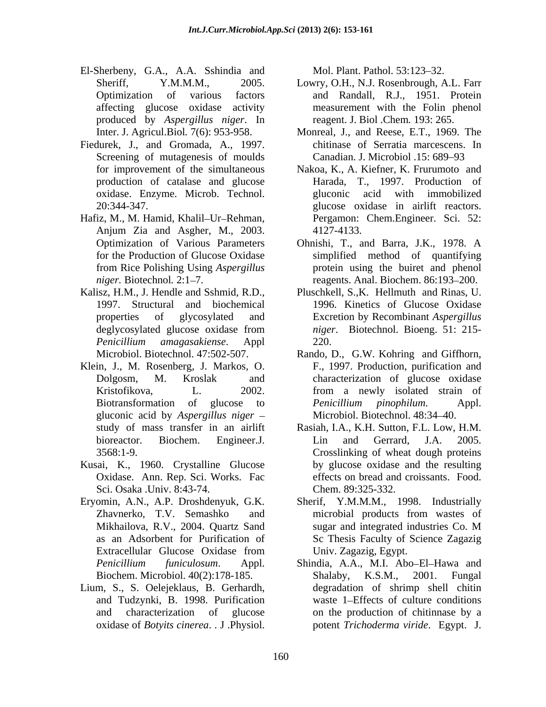- El-Sherbeny, G.A., A.A. Sshindia and Mol. Plant. Pathol. 53:123–32. produced by *Aspergillus niger*. In
- Fiedurek, J., and Gromada, A., 1997. Screening of mutagenesis of moulds for improvement of the simultaneous production of catalase and glucose
- Hafiz, M., M. Hamid, Khalil-Ur-Rehman, Anjum Zia and Asgher, M., 2003.
- Kalisz, H.M., J. Hendle and Sshmid, R.D., *Penicillium amagasakiense*. Appl
- Klein, J., M. Rosenberg, J. Markos, O. gluconic acid by *Aspergillus niger* oxidase of *Botyits cinerea*. . J .Physiol. Mol. Plant. Pathol. 53:123 32.
- Kusai, K., 1960. Crystalline Glucose Oxidase. Ann. Rep. Sci. Works. Fac Sci. Osaka .Univ. 8:43-74.
- Extracellular Glucose Oxidase from
- Lium, S., S. Oelejeklaus, B. Gerhardh,

- Sheriff, Y.M.M.M., 2005. Lowry, O.H., N.J. Rosenbrough, A.L. Farr Optimization of various factors and Randall, R.J., 1951. Protein affecting glucose oxidase activity measurement with the Folin phenol reagent. J. Biol .Chem*.* 193: 265.
- Inter. J. Agricul.Biol*.* 7(6): 953-958. Monreal, J., and Reese, E.T., 1969. The chitinase of Serratia marcescens. In Canadian. J. Microbiol .15: 689–93
- oxidase. Enzyme. Microb. Technol. 20:344-347. glucose oxidase in airlift reactors. Nakoa, K., A. Kiefner, K. Frurumoto and Harada, T., 1997. Production of gluconic acid with immobilized Pergamon: Chem.Engineer. Sci. 52: 4127-4133.
- Optimization of Various Parameters Ohnishi, T., and Barra, J.K., 1978. A for the Production of Glucose Oxidase simplified method of quantifying from Rice Polishing Using *Aspergillus*  protein using the buiret and phenol niger. Biotechnol. 2:1–7. The reagents. Anal. Biochem. 86:193–200.
- 1997. Structural and biochemical 1996. Kinetics of Glucose Oxidase properties of glycosylated and Excretion by Recombinant *Aspergillus*  deglycosylated glucose oxidase from *niger*. Biotechnol. Bioeng. 51: 215-Pluschkell, S.,K. Hellmuth and Rinas, U. *niger*. Biotechnol. Bioeng. 51: 215- 220.
- Microbiol. Biotechnol. 47:502-507. Rando, D., G.W. Kohring and Giffhorn, Dolgosm, M. Kroslak and characterization of glucose oxidase Kristofikova, L. 2002. from a newly isolated strain of Biotransformation of glucose to *Penicillium pinophilum*. Appl. F., 1997. Production, purification and *Penicillium pinophilum*. Appl. Microbiol. Biotechnol. 48:34-40.
- study of mass transfer in an airlift Rasiah, I.A., K.H. Sutton, F.L. Low, H.M. bioreactor. Biochem. Engineer.J. 3568:1-9. Crosslinking of wheat dough proteins Lin and Gerrard, J.A. 2005. by glucose oxidase and the resulting effects on bread and croissants. Food. Chem. 89:325-332.
- Eryomin, A.N., A.P. Droshdenyuk, G.K. Sherif, Y.M.M.M., 1998. Industrially Zhavnerko, T.V. Semashko and microbial products from wastes of Mikhailova, R.V., 2004. Quartz Sand sugar and integrated industries Co. M as an Adsorbent for Purification of Sc Thesis Faculty of Science Zagazig Univ. Zagazig, Egypt.
	- *Penicillium funiculosum*. Appl. Shindia, A.A., M.I. Abo El Hawa and Biochem. Microbiol. 40(2):178-185. and Tudzynki, B. 1998. Purification waste 1 Effects of culture conditions and characterization of glucose on the production of chitinnase by a Shalaby, K.S.M., degradation of shrimp shell chitin potent *Trichoderma viride*. Egypt. J.